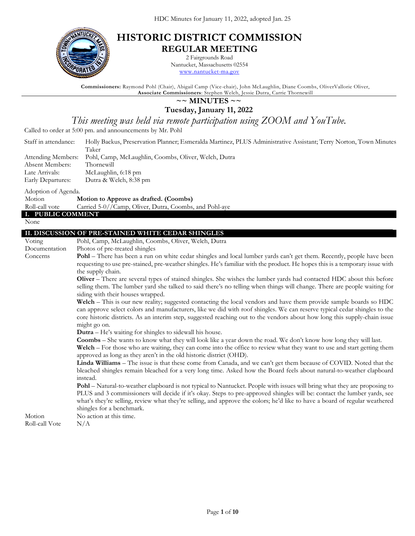

# **HISTORIC DISTRICT COMMISSION REGULAR MEETING**

2 Fairgrounds Road

Nantucket, Massachusetts 02554 [www.nantucket-ma.gov](http://www.nantucket-ma.gov/)

**Commissioners:** Raymond Pohl (Chair), Abigail Camp (Vice-chair), John McLaughlin, Diane Coombs, OliverVallorie Oliver, **Associate Commissioners**: Stephen Welch, Jessie Dutra, Carrie Thornewill

# **~~ MINUTES ~~**

**Tuesday, January 11, 2022**

*This meeting was held via remote participation using ZOOM and YouTube.*

Called to order at 5:00 pm. and announcements by Mr. Pohl

| Staff in attendance:<br>Attending Members:<br>Absent Members:<br>Late Arrivals:<br>Early Departures: | Holly Backus, Preservation Planner; Esmeralda Martinez, PLUS Administrative Assistant; Terry Norton, Town Minutes<br>Taker<br>Pohl, Camp, McLaughlin, Coombs, Oliver, Welch, Dutra<br>Thornewill<br>McLaughlin, 6:18 pm<br>Dutra & Welch, 8:38 pm                                                                                                                                                                                                                                                                                                                                                                                                                                                                                                                                                                                                                                                                                                                                                                                                                                                                                                                                                                                                                                                                                                                                                                                                                                                                                                                                                                                                                                                                                                    |
|------------------------------------------------------------------------------------------------------|------------------------------------------------------------------------------------------------------------------------------------------------------------------------------------------------------------------------------------------------------------------------------------------------------------------------------------------------------------------------------------------------------------------------------------------------------------------------------------------------------------------------------------------------------------------------------------------------------------------------------------------------------------------------------------------------------------------------------------------------------------------------------------------------------------------------------------------------------------------------------------------------------------------------------------------------------------------------------------------------------------------------------------------------------------------------------------------------------------------------------------------------------------------------------------------------------------------------------------------------------------------------------------------------------------------------------------------------------------------------------------------------------------------------------------------------------------------------------------------------------------------------------------------------------------------------------------------------------------------------------------------------------------------------------------------------------------------------------------------------------|
| Adoption of Agenda.<br>Motion<br>Roll-call vote<br>I. PUBLIC COMMENT<br>None                         | Motion to Approve as drafted. (Coombs)<br>Carried 5-0//Camp, Oliver, Dutra, Coombs, and Pohl-aye                                                                                                                                                                                                                                                                                                                                                                                                                                                                                                                                                                                                                                                                                                                                                                                                                                                                                                                                                                                                                                                                                                                                                                                                                                                                                                                                                                                                                                                                                                                                                                                                                                                     |
| Voting<br>Documentation<br>Concerns                                                                  | II. DISCUSSION OF PRE-STAINED WHITE CEDAR SHINGLES<br>Pohl, Camp, McLaughlin, Coombs, Oliver, Welch, Dutra<br>Photos of pre-treated shingles<br>Pohl - There has been a run on white cedar shingles and local lumber yards can't get them. Recently, people have been<br>requesting to use pre-stained, pre-weather shingles. He's familiar with the product. He hopes this is a temporary issue with<br>the supply chain.<br>Oliver – There are several types of stained shingles. She wishes the lumber yards had contacted HDC about this before<br>selling them. The lumber yard she talked to said there's no telling when things will change. There are people waiting for<br>siding with their houses wrapped.<br>Welch - This is our new reality; suggested contacting the local vendors and have them provide sample boards so HDC<br>can approve select colors and manufacturers, like we did with roof shingles. We can reserve typical cedar shingles to the<br>core historic districts. As an interim step, suggested reaching out to the vendors about how long this supply-chain issue<br>might go on.<br>Dutra - He's waiting for shingles to sidewall his house.<br>Coombs - She wants to know what they will look like a year down the road. We don't know how long they will last.<br>Welch – For those who are waiting, they can come into the office to review what they want to use and start getting them<br>approved as long as they aren't in the old historic district (OHD).<br>Linda Williams - The issue is that these come from Canada, and we can't get them because of COVID. Noted that the<br>bleached shingles remain bleached for a very long time. Asked how the Board feels about natural-to-weather clapboard |

instead.

**Pohl** – Natural-to-weather clapboard is not typical to Nantucket. People with issues will bring what they are proposing to PLUS and 3 commissioners will decide if it's okay. Steps to pre-approved shingles will be: contact the lumber yards, see what's they're selling, review what they're selling, and approve the colors; he'd like to have a board of regular weathered shingles for a benchmark.

Motion No action at this time.

Roll-call Vote  $N/A$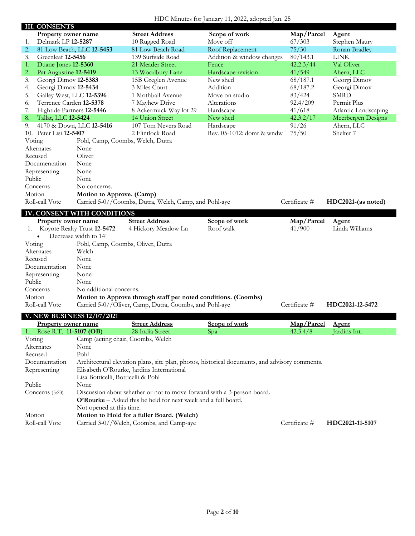#### HDC Minutes for January 11, 2022, adopted Jan. 25

| <b>III. CONSENTS</b>            |                                    |                                                                                        |                                                                                                |               |                      |
|---------------------------------|------------------------------------|----------------------------------------------------------------------------------------|------------------------------------------------------------------------------------------------|---------------|----------------------|
| <b>Property owner name</b>      |                                    | <b>Street Address</b>                                                                  | Scope of work                                                                                  | Map/Parcel    | <b>Agent</b>         |
| Delmark LP 12-5287<br>1.        |                                    | 10 Rugged Road                                                                         | Move off                                                                                       | 67/303        | Stephen Maury        |
| 2.                              | 81 Low Beach, LLC 12-5453          | 81 Low Beach Road                                                                      | Roof Replacement                                                                               | 75/30         | Ronan Bradley        |
| 3.<br>Greenleaf 12-5456         |                                    | 139 Surfside Road                                                                      | Addition & window changes                                                                      | 80/143.1      | <b>LINK</b>          |
| Duane Jones 12-5360<br>1.       |                                    | 21 Meader Street                                                                       | Fence                                                                                          | 42.2.3/44     | Val Oliver           |
| Pat Augustine 12-5419<br>2.     |                                    | 13 Woodbury Lane                                                                       | Hardscape revision                                                                             | 41/549        | Ahern, LLC           |
| Georgi Dimov 12-5383<br>3.      |                                    | 15B Greglen Avenue                                                                     | New shed                                                                                       | 68/187.1      | Georgi Dimov         |
| Georgi Dimov 12-5434<br>4.      |                                    | 3 Miles Court                                                                          | Addition                                                                                       | 68/187.2      | Georgi Dimov         |
| Galley West, LLC 12-5396<br>5.  |                                    | 1 Mothball Avenue                                                                      | Move on studio                                                                                 | 83/424        | <b>SMRD</b>          |
| Terrence Carden 12-5378<br>6.   |                                    | 7 Mayhew Drive                                                                         | Alterations                                                                                    | 92.4/209      | Permit Plus          |
| Hightide Partners 12-5446<br>7. |                                    | 8 Ackermuck Way lot 29                                                                 | Hardscape                                                                                      | 41/618        | Atlantic Landscaping |
| Tallat, LLC 12-5424<br>8.       |                                    | 14 Union Street                                                                        | New shed                                                                                       | 42.3.2/17     | Meerbergen Designs   |
| 9.                              | 4170 & Down, LLC 12-5416           | 107 Tom Nevers Road                                                                    | Hardscape                                                                                      | 91/26         | Ahern, LLC           |
| Peter Lisi 12-5407<br>10.       |                                    | 2 Flintlock Road                                                                       | Rev. 05-1012: domr & wndw                                                                      | 75/50         | Shelter 7            |
| Voting                          | Pohl, Camp, Coombs, Welch, Dutra   |                                                                                        |                                                                                                |               |                      |
| Alternates                      | None                               |                                                                                        |                                                                                                |               |                      |
| Recused                         | Oliver                             |                                                                                        |                                                                                                |               |                      |
| Documentation                   | None                               |                                                                                        |                                                                                                |               |                      |
| Representing                    | None                               |                                                                                        |                                                                                                |               |                      |
| Public                          | None                               |                                                                                        |                                                                                                |               |                      |
| Concerns                        | No concerns.                       |                                                                                        |                                                                                                |               |                      |
| Motion                          | Motion to Approve. (Camp)          |                                                                                        |                                                                                                |               |                      |
| Roll-call Vote                  |                                    | Carried 5-0//Coombs, Dutra, Welch, Camp, and Pohl-aye                                  |                                                                                                | Certificate # | HDC2021-(as noted)   |
|                                 | <b>IV. CONSENT WITH CONDITIONS</b> |                                                                                        |                                                                                                |               |                      |
| Property owner name             |                                    | <b>Street Address</b>                                                                  | Scope of work                                                                                  | Map/Parcel    | Agent                |
| 1.                              | Koyote Realty Trust 12-5472        | 4 Hickory Meadow Ln                                                                    | Roof walk                                                                                      | 41/900        | Linda Williams       |
|                                 | Decrease width to 14'              |                                                                                        |                                                                                                |               |                      |
|                                 |                                    |                                                                                        |                                                                                                |               |                      |
|                                 |                                    |                                                                                        |                                                                                                |               |                      |
| Voting                          | Pohl, Camp, Coombs, Oliver, Dutra  |                                                                                        |                                                                                                |               |                      |
| Alternates                      | Welch                              |                                                                                        |                                                                                                |               |                      |
| Recused                         | None                               |                                                                                        |                                                                                                |               |                      |
| Documentation                   | None                               |                                                                                        |                                                                                                |               |                      |
| Representing                    | None                               |                                                                                        |                                                                                                |               |                      |
| Public                          | None                               |                                                                                        |                                                                                                |               |                      |
| Concerns                        | No additional concerns.            |                                                                                        |                                                                                                |               |                      |
| Motion                          |                                    | Motion to Approve through staff per noted conditions. (Coombs)                         |                                                                                                |               |                      |
| Roll-call Vote                  |                                    | Carried 5-0//Oliver, Camp, Dutra, Coombs, and Pohl-aye                                 |                                                                                                | Certificate # | HDC2021-12-5472      |
|                                 | <b>V. NEW BUSINESS 12/07/2021</b>  |                                                                                        |                                                                                                |               |                      |
| Property owner name             |                                    | <b>Street Address</b>                                                                  | Scope of work                                                                                  | Map/Parcel    | <b>Agent</b>         |
| Rose R.T. 11-5107 (OB)<br>1.    |                                    | 28 India Street                                                                        | Spa                                                                                            | 42.3.4/8      | Jardins Int.         |
| Voting                          | Camp (acting chair, Coombs, Welch  |                                                                                        |                                                                                                |               |                      |
| Alternates                      | None                               |                                                                                        |                                                                                                |               |                      |
| Recused                         | Pohl                               |                                                                                        |                                                                                                |               |                      |
| Documentation                   |                                    |                                                                                        | Architectural elevation plans, site plan, photos, historical documents, and advisory comments. |               |                      |
| Representing                    |                                    | Elisabeth O'Rourke, Jardins International                                              |                                                                                                |               |                      |
|                                 | Lisa Botticelli, Botticelli & Pohl |                                                                                        |                                                                                                |               |                      |
| Public                          | None                               |                                                                                        |                                                                                                |               |                      |
| Concerns (5:23)                 |                                    | Discussion about whether or not to move forward with a 3-person board.                 |                                                                                                |               |                      |
|                                 |                                    | O'Rourke – Asked this be held for next week and a full board.                          |                                                                                                |               |                      |
|                                 | Not opened at this time.           |                                                                                        |                                                                                                |               |                      |
| Motion<br>Roll-call Vote        |                                    | Motion to Hold for a fuller Board. (Welch)<br>Carried 3-0//Welch, Coombs, and Camp-aye |                                                                                                | Certificate # | HDC2021-11-5107      |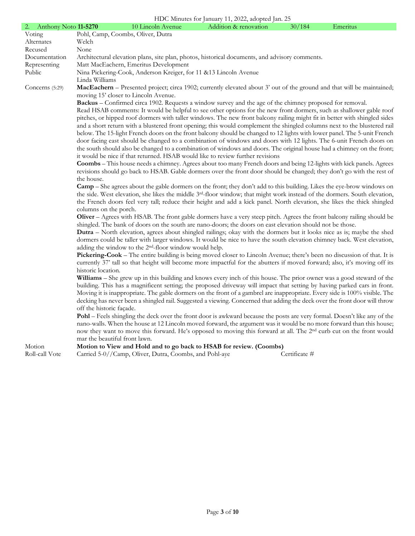### HDC Minutes for January 11, 2022, adopted Jan. 25

| 2. Anthony Noto 11-5270 |                               | 10 Lincoln Avenue                                                  | HDC Minutes for January 11, 2022, adopted Jan. 25<br>Addition & renovation                                                             | 30/184        | Emeritus |
|-------------------------|-------------------------------|--------------------------------------------------------------------|----------------------------------------------------------------------------------------------------------------------------------------|---------------|----------|
| Voting                  |                               | Pohl, Camp, Coombs, Oliver, Dutra                                  |                                                                                                                                        |               |          |
| Alternates              | Welch                         |                                                                    |                                                                                                                                        |               |          |
| Recused                 | None                          |                                                                    |                                                                                                                                        |               |          |
| Documentation           |                               |                                                                    | Architectural elevation plans, site plan, photos, historical documents, and advisory comments.                                         |               |          |
| Representing            |                               | Matt MacEachern, Emeritus Development                              |                                                                                                                                        |               |          |
| Public                  |                               | Nina Pickering-Cook, Anderson Kreiger, for 11 & 13 Lincoln Avenue  |                                                                                                                                        |               |          |
|                         | Linda Williams                |                                                                    |                                                                                                                                        |               |          |
| Concerns $(5:29)$       |                               | moving 15' closer to Lincoln Avenue.                               | MacEachern – Presented project; circa 1902; currently elevated about 3' out of the ground and that will be maintained;                 |               |          |
|                         |                               |                                                                    | Backus – Confirmed circa 1902. Requests a window survey and the age of the chimney proposed for removal.                               |               |          |
|                         |                               |                                                                    | Read HSAB comments: It would be helpful to see other options for the new front dormers, such as shallower gable roof                   |               |          |
|                         |                               |                                                                    | pitches, or hipped roof dormers with taller windows. The new front balcony railing might fit in better with shingled sides             |               |          |
|                         |                               |                                                                    | and a short return with a blustered front opening; this would complement the shingled columns next to the blustered rail               |               |          |
|                         |                               |                                                                    | below. The 15-light French doors on the front balcony should be changed to 12 lights with lower panel. The 5-unit French               |               |          |
|                         |                               |                                                                    | door facing east should be changed to a combination of windows and doors with 12 lights. The 6-unit French doors on                    |               |          |
|                         |                               |                                                                    | the south should also be changed to a combination of windows and doors. The original house had a chimney on the front;                 |               |          |
|                         |                               |                                                                    | it would be nice if that returned. HSAB would like to review further revisions                                                         |               |          |
|                         |                               |                                                                    | Coombs - This house needs a chimney. Agrees about too many French doors and being 12-lights with kick panels. Agrees                   |               |          |
|                         |                               |                                                                    | revisions should go back to HSAB. Gable dormers over the front door should be changed; they don't go with the rest of                  |               |          |
|                         | the house.                    |                                                                    |                                                                                                                                        |               |          |
|                         |                               |                                                                    | <b>Camp</b> – She agrees about the gable dormers on the front; they don't add to this building. Likes the eye-brow windows on          |               |          |
|                         |                               |                                                                    | the side. West elevation, she likes the middle 3 <sup>rd</sup> -floor window; that might work instead of the dormers. South elevation, |               |          |
|                         |                               |                                                                    | the French doors feel very tall; reduce their height and add a kick panel. North elevation, she likes the thick shingled               |               |          |
|                         | columns on the porch.         |                                                                    |                                                                                                                                        |               |          |
|                         |                               |                                                                    | Oliver – Agrees with HSAB. The front gable dormers have a very steep pitch. Agrees the front balcony railing should be                 |               |          |
|                         |                               |                                                                    | shingled. The bank of doors on the south are nano-doors; the doors on east elevation should not be those.                              |               |          |
|                         |                               |                                                                    | <b>Dutra</b> – North elevation, agrees about shingled railings; okay with the dormers but it looks nice as is; maybe the shed          |               |          |
|                         |                               |                                                                    | dormers could be taller with larger windows. It would be nice to have the south elevation chimney back. West elevation,                |               |          |
|                         |                               | adding the window to the 2 <sup>nd</sup> -floor window would help. |                                                                                                                                        |               |          |
|                         |                               |                                                                    | Pickering-Cook - The entire building is being moved closer to Lincoln Avenue; there's been no discussion of that. It is                |               |          |
|                         |                               |                                                                    | currently 37' tall so that height will become more impactful for the abutters if moved forward; also, it's moving off its              |               |          |
|                         | historic location.            |                                                                    |                                                                                                                                        |               |          |
|                         |                               |                                                                    | Williams - She grew up in this building and knows every inch of this house. The prior owner was a good steward of the                  |               |          |
|                         |                               |                                                                    | building. This has a magnificent setting; the proposed driveway will impact that setting by having parked cars in front.               |               |          |
|                         |                               |                                                                    | Moving it is inappropriate. The gable dormers on the front of a gambrel are inappropriate. Every side is 100% visible. The             |               |          |
|                         |                               |                                                                    | decking has never been a shingled rail. Suggested a viewing. Concerned that adding the deck over the front door will throw             |               |          |
|                         | off the historic façade.      |                                                                    | Pohl – Feels shingling the deck over the front door is awkward because the posts are very formal. Doesn't like any of the              |               |          |
|                         |                               |                                                                    | nano-walls. When the house at 12 Lincoln moved forward, the argument was it would be no more forward than this house;                  |               |          |
|                         |                               |                                                                    | now they want to move this forward. He's opposed to moving this forward at all. The 2 <sup>nd</sup> curb cut on the front would        |               |          |
|                         | mar the beautiful front lawn. |                                                                    |                                                                                                                                        |               |          |
| Motion                  |                               |                                                                    | Motion to View and Hold and to go back to HSAB for review. (Coombs)                                                                    |               |          |
| Roll-call Vote          |                               | Carried 5-0//Camp, Oliver, Dutra, Coombs, and Pohl-aye             |                                                                                                                                        | Certificate # |          |
|                         |                               |                                                                    |                                                                                                                                        |               |          |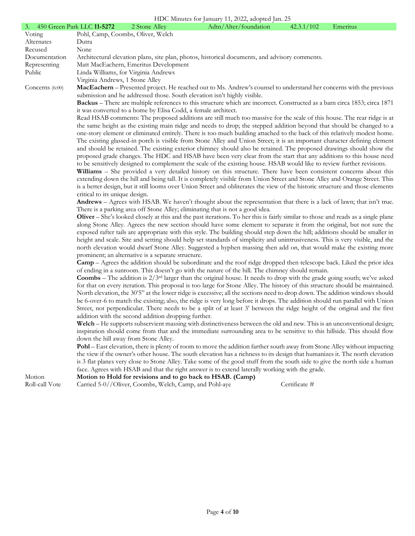|  | HDC Minutes for January 11, 2022, adopted Jan. 25 |
|--|---------------------------------------------------|
|--|---------------------------------------------------|

| 3. 450 Green Park LLC 11-5272 |                                      | 2 Stone Alley                                                 | THE Minutes for January 11, 2022, adopted Jan. 25<br>Adtn/Alter/foundation                                                                   | 42.3.1/102    | Emeritus |
|-------------------------------|--------------------------------------|---------------------------------------------------------------|----------------------------------------------------------------------------------------------------------------------------------------------|---------------|----------|
| Voting                        | Pohl, Camp, Coombs, Oliver, Welch    |                                                               |                                                                                                                                              |               |          |
| Alternates                    | Dutra                                |                                                               |                                                                                                                                              |               |          |
| Recused                       | None                                 |                                                               |                                                                                                                                              |               |          |
| Documentation                 |                                      |                                                               | Architectural elevation plans, site plan, photos, historical documents, and advisory comments.                                               |               |          |
| Representing                  |                                      | Matt MacEachern, Emeritus Development                         |                                                                                                                                              |               |          |
|                               |                                      |                                                               |                                                                                                                                              |               |          |
| Public                        | Linda Williams, for Virginia Andrews |                                                               |                                                                                                                                              |               |          |
|                               | Virginia Andrews, 1 Stone Alley      |                                                               |                                                                                                                                              |               |          |
| Concerns (6:00)               |                                      |                                                               | MacEachern - Presented project. He reached out to Ms. Andrew's counsel to understand her concerns with the previous                          |               |          |
|                               |                                      |                                                               | submission and he addressed those. South elevation isn't highly visible.                                                                     |               |          |
|                               |                                      |                                                               | Backus – There are multiple references to this structure which are incorrect. Constructed as a barn circa 1853; circa 1871                   |               |          |
|                               |                                      | it was converted to a home by Elisa Codd, a female architect. |                                                                                                                                              |               |          |
|                               |                                      |                                                               | Read HSAB comments: The proposed additions are still much too massive for the scale of this house. The rear ridge is at                      |               |          |
|                               |                                      |                                                               | the same height as the existing main ridge and needs to drop; the stepped addition beyond that should be changed to a                        |               |          |
|                               |                                      |                                                               | one-story element or eliminated entirely. There is too much building attached to the back of this relatively modest home.                    |               |          |
|                               |                                      |                                                               | The existing glassed-in porch is visible from Stone Alley and Union Street; it is an important character defining element                    |               |          |
|                               |                                      |                                                               | and should be retained. The existing exterior chimney should also be retained. The proposed drawings should show the                         |               |          |
|                               |                                      |                                                               | proposed grade changes. The HDC and HSAB have been very clear from the start that any additions to this house need                           |               |          |
|                               |                                      |                                                               | to be sensitively designed to complement the scale of the existing house. HSAB would like to review further revisions.                       |               |          |
|                               |                                      |                                                               | Williams - She provided a very detailed history on this structure. There have been consistent concerns about this                            |               |          |
|                               |                                      |                                                               | extending down the hill and being tall. It is completely visible from Union Street and Stone Alley and Orange Street. This                   |               |          |
|                               |                                      |                                                               | is a better design, but it still looms over Union Street and obliterates the view of the historic structure and those elements               |               |          |
|                               | critical to its unique design.       |                                                               |                                                                                                                                              |               |          |
|                               |                                      |                                                               | Andrews - Agrees with HSAB. We haven't thought about the representation that there is a lack of lawn; that isn't true.                       |               |          |
|                               |                                      |                                                               | There is a parking area off Stone Alley; eliminating that is not a good idea.                                                                |               |          |
|                               |                                      |                                                               | <b>Oliver</b> – She's looked closely at this and the past iterations. To her this is fairly similar to those and reads as a single plane     |               |          |
|                               |                                      |                                                               | along Stone Alley. Agrees the new section should have some element to separate it from the original, but not sure the                        |               |          |
|                               |                                      |                                                               | exposed rafter tails are appropriate with this style. The building should step down the hill; additions should be smaller in                 |               |          |
|                               |                                      |                                                               | height and scale. Site and setting should help set standards of simplicity and unintrusiveness. This is very visible, and the                |               |          |
|                               |                                      |                                                               | north elevation would dwarf Stone Alley. Suggested a hyphen massing then add on, that would make the existing more                           |               |          |
|                               |                                      | prominent; an alternative is a separate structure.            |                                                                                                                                              |               |          |
|                               |                                      |                                                               | <b>Camp</b> – Agrees the addition should be subordinate and the roof ridge dropped then telescope back. Liked the prior idea                 |               |          |
|                               |                                      |                                                               | of ending in a sunroom. This doesn't go with the nature of the hill. The chimney should remain.                                              |               |          |
|                               |                                      |                                                               | <b>Coombs</b> – The addition is $2/3$ <sup>rd</sup> larger than the original house. It needs to drop with the grade going south; we've asked |               |          |
|                               |                                      |                                                               | for that on every iteration. This proposal is too large for Stone Alley. The history of this structure should be maintained.                 |               |          |
|                               |                                      |                                                               | North elevation, the 30'5" at the lower ridge is excessive; all the sections need to drop down. The addition windows should                  |               |          |
|                               |                                      |                                                               | be 6-over-6 to match the existing; also, the ridge is very long before it drops. The addition should run parallel with Union                 |               |          |
|                               |                                      |                                                               | Street, not perpendicular. There needs to be a split of at least 3' between the ridge height of the original and the first                   |               |          |
|                               |                                      | addition with the second addition dropping further.           |                                                                                                                                              |               |          |
|                               |                                      |                                                               | Welch - He supports subservient massing with distinctiveness between the old and new. This is an unconventional design;                      |               |          |
|                               |                                      |                                                               | inspiration should come from that and the immediate surrounding area to be sensitive to this hillside. This should flow                      |               |          |
|                               | down the hill away from Stone Alley. |                                                               |                                                                                                                                              |               |          |
|                               |                                      |                                                               | Pohl – East elevation, there is plenty of room to move the addition farther south away from Stone Alley without impacting                    |               |          |
|                               |                                      |                                                               | the view if the owner's other house. The south elevation has a richness to its design that humanizes it. The north elevation                 |               |          |
|                               |                                      |                                                               | is 3 flat planes very close to Stone Alley. Take some of the good stuff from the south side to give the north side a human                   |               |          |
|                               |                                      |                                                               | face. Agrees with HSAB and that the right answer is to extend laterally working with the grade.                                              |               |          |
| Motion                        |                                      | Motion to Hold for revisions and to go back to HSAB. (Camp)   |                                                                                                                                              |               |          |
| Roll-call Vote                |                                      | Carried 5-0//Oliver, Coombs, Welch, Camp, and Pohl-aye        |                                                                                                                                              | Certificate # |          |
|                               |                                      |                                                               |                                                                                                                                              |               |          |
|                               |                                      |                                                               |                                                                                                                                              |               |          |
|                               |                                      |                                                               |                                                                                                                                              |               |          |
|                               |                                      |                                                               |                                                                                                                                              |               |          |
|                               |                                      |                                                               |                                                                                                                                              |               |          |
|                               |                                      |                                                               |                                                                                                                                              |               |          |
|                               |                                      |                                                               |                                                                                                                                              |               |          |
|                               |                                      |                                                               |                                                                                                                                              |               |          |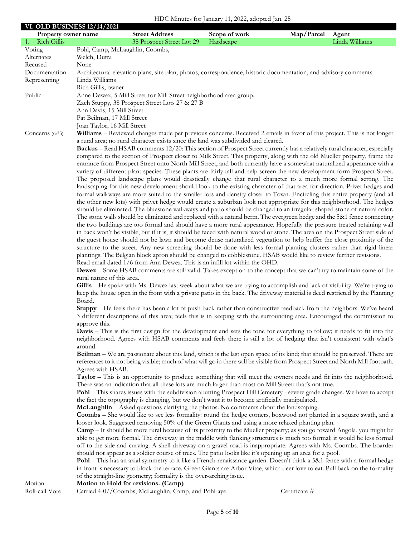#### HDC Minutes for January 11, 2022, adopted Jan. 25

**VI. OLD BUSINESS 12/14/2021**

| VI. ULD DUSINESS 12/14/2021<br><b>Property owner name</b> |                                 | <b>Street Address</b>                                                                                    | Scope of work | Map/Parcel<br><b>Agent</b>                                                                                                                                                                                                                                |  |
|-----------------------------------------------------------|---------------------------------|----------------------------------------------------------------------------------------------------------|---------------|-----------------------------------------------------------------------------------------------------------------------------------------------------------------------------------------------------------------------------------------------------------|--|
| 1. Rich Gillis                                            |                                 | 38 Prospect Street Lot 29                                                                                | Hardscape     | Linda Williams                                                                                                                                                                                                                                            |  |
| Voting                                                    | Pohl, Camp, McLaughlin, Coombs, |                                                                                                          |               |                                                                                                                                                                                                                                                           |  |
| Alternates                                                | Welch, Dutra                    |                                                                                                          |               |                                                                                                                                                                                                                                                           |  |
| Recused                                                   | None                            |                                                                                                          |               |                                                                                                                                                                                                                                                           |  |
| Documentation<br>Representing                             | Linda Williams                  |                                                                                                          |               | Architectural elevation plans, site plan, photos, correspondence, historic documentation, and advisory comments                                                                                                                                           |  |
|                                                           | Rich Gillis, owner              |                                                                                                          |               |                                                                                                                                                                                                                                                           |  |
| Public                                                    |                                 | Anne Dewez, 5 Mill Street for Mill Street neighborhood area group.                                       |               |                                                                                                                                                                                                                                                           |  |
|                                                           |                                 | Zach Stuppy, 38 Prospect Street Lots 27 & 27 B                                                           |               |                                                                                                                                                                                                                                                           |  |
|                                                           | Ann Davis, 15 Mill Street       |                                                                                                          |               |                                                                                                                                                                                                                                                           |  |
|                                                           | Pat Beilman, 17 Mill Street     |                                                                                                          |               |                                                                                                                                                                                                                                                           |  |
|                                                           | Joan Taylor, 16 Mill Street     |                                                                                                          |               |                                                                                                                                                                                                                                                           |  |
| Concerns (6:35)                                           |                                 | a rural area; no rural character exists since the land was subdivided and cleared.                       |               | Williams - Reviewed changes made per previous concerns. Received 2 emails in favor of this project. This is not longer                                                                                                                                    |  |
|                                                           |                                 |                                                                                                          |               | Backus - Read HSAB comments 12/20: This section of Prospect Street currently has a relatively rural character, especially                                                                                                                                 |  |
|                                                           |                                 |                                                                                                          |               | compared to the section of Prospect closer to Milk Street. This property, along with the old Mueller property, frame the                                                                                                                                  |  |
|                                                           |                                 |                                                                                                          |               | entrance from Prospect Street onto North Mill Street, and both currently have a somewhat naturalized appearance with a                                                                                                                                    |  |
|                                                           |                                 |                                                                                                          |               | variety of different plant species. These plants are fairly tall and help screen the new development form Prospect Street.                                                                                                                                |  |
|                                                           |                                 |                                                                                                          |               | The proposed landscape plans would drastically change that rural character to a much more formal setting. The                                                                                                                                             |  |
|                                                           |                                 |                                                                                                          |               | landscaping for this new development should look to the existing character of that area for direction. Privet hedges and<br>formal walkways are more suited to the smaller lots and density closer to Town. Encircling this entire property (and all      |  |
|                                                           |                                 |                                                                                                          |               | the other new lots) with privet hedge would create a suburban look not appropriate for this neighborhood. The hedges                                                                                                                                      |  |
|                                                           |                                 |                                                                                                          |               | should be eliminated. The bluestone walkways and patio should be changed to an irregular shaped stone of natural color.                                                                                                                                   |  |
|                                                           |                                 |                                                                                                          |               | The stone walls should be eliminated and replaced with a natural berm. The evergreen hedge and the 5&1 fence connecting                                                                                                                                   |  |
|                                                           |                                 |                                                                                                          |               | the two buildings are too formal and should have a more rural appearance. Hopefully the pressure treated retaining wall                                                                                                                                   |  |
|                                                           |                                 |                                                                                                          |               | in back won't be visible, but if it is, it should be faced with natural wood or stone. The area on the Prospect Street side of<br>the guest house should not be lawn and become dense naturalized vegetation to help buffer the close proximity of the    |  |
|                                                           |                                 |                                                                                                          |               | structure to the street. Any new screening should be done with less formal planting clusters rather than rigid linear                                                                                                                                     |  |
|                                                           |                                 |                                                                                                          |               | plantings. The Belgian block apron should be changed to cobblestone. HSAB would like to review further revisions.                                                                                                                                         |  |
|                                                           |                                 | Read email dated 1/6 from Ann Dewez. This is an infill lot within the OHD.                               |               |                                                                                                                                                                                                                                                           |  |
|                                                           |                                 |                                                                                                          |               | <b>Dewez</b> – Some HSAB comments are still valid. Takes exception to the concept that we can't try to maintain some of the                                                                                                                               |  |
|                                                           | rural nature of this area.      |                                                                                                          |               |                                                                                                                                                                                                                                                           |  |
|                                                           |                                 |                                                                                                          |               | Gillis - He spoke with Ms. Dewez last week about what we are trying to accomplish and lack of visibility. We're trying to<br>keep the house open in the front with a private patio in the back. The driveway material is deed restricted by the Planning  |  |
|                                                           | Board.                          |                                                                                                          |               |                                                                                                                                                                                                                                                           |  |
|                                                           |                                 |                                                                                                          |               | Stuppy - He feels there has been a lot of push back rather than constructive feedback from the neighbors. We've heard                                                                                                                                     |  |
|                                                           |                                 |                                                                                                          |               | 3 different descriptions of this area; feels this is in keeping with the surrounding area. Encouraged the commission to                                                                                                                                   |  |
|                                                           | approve this.                   |                                                                                                          |               |                                                                                                                                                                                                                                                           |  |
|                                                           |                                 |                                                                                                          |               | Davis - This is the first design for the development and sets the tone for everything to follow; it needs to fit into the<br>neighborhood. Agrees with HSAB comments and feels there is still a lot of hedging that isn't consistent with what's          |  |
|                                                           | around.                         |                                                                                                          |               |                                                                                                                                                                                                                                                           |  |
|                                                           |                                 |                                                                                                          |               | Beilman – We are passionate about this land, which is the last open space of its kind; that should be preserved. There are                                                                                                                                |  |
|                                                           |                                 |                                                                                                          |               | references to it not being visible; much of what will go in there will be visible from Prospect Street and North Mill footpath.                                                                                                                           |  |
|                                                           | Agrees with HSAB.               |                                                                                                          |               |                                                                                                                                                                                                                                                           |  |
|                                                           |                                 |                                                                                                          |               | <b>Taylor</b> – This is an opportunity to produce something that will meet the owners needs and fit into the neighborhood.                                                                                                                                |  |
|                                                           |                                 | There was an indication that all these lots are much larger than most on Mill Street; that's not true.   |               | Pohl - This shares issues with the subdivision abutting Prospect Hill Cemetery - severe grade changes. We have to accept                                                                                                                                  |  |
|                                                           |                                 | the fact the topography is changing, but we don't want it to become artificially manipulated.            |               |                                                                                                                                                                                                                                                           |  |
|                                                           |                                 | McLaughlin – Asked questions clarifying the photos. No comments about the landscaping.                   |               |                                                                                                                                                                                                                                                           |  |
|                                                           |                                 |                                                                                                          |               | <b>Coombs</b> – She would like to see less formality: round the hedge corners, boxwood not planted in a square swath, and a                                                                                                                               |  |
|                                                           |                                 | looser look. Suggested removing 50% of the Green Giants and using a more relaxed planting plan.          |               |                                                                                                                                                                                                                                                           |  |
|                                                           |                                 |                                                                                                          |               | <b>Camp</b> – It should be more rural because of its proximity to the Mueller property; as you go toward Angola, you might be<br>able to get more formal. The driveway in the middle with flanking structures is much too formal; it would be less formal |  |
|                                                           |                                 |                                                                                                          |               | off to the side and curving. A shell driveway on a gravel road is inappropriate. Agrees with Ms. Coombs. The boarder                                                                                                                                      |  |
|                                                           |                                 | should not appear as a soldier course of trees. The patio looks like it's opening up an area for a pool. |               |                                                                                                                                                                                                                                                           |  |
|                                                           |                                 |                                                                                                          |               | Pohl - This has an axial symmetry to it like a French renaissance garden. Doesn't think a 5&1 fence with a formal hedge                                                                                                                                   |  |
|                                                           |                                 |                                                                                                          |               | in front is necessary to block the terrace. Green Giants are Arbor Vitae, which deer love to eat. Pull back on the formality                                                                                                                              |  |
|                                                           |                                 | of the straight-line geometry; formality is the over-arching issue.                                      |               |                                                                                                                                                                                                                                                           |  |
| Motion<br>Roll-call Vote                                  |                                 | Motion to Hold for revisions. (Camp)<br>Carried 4-0//Coombs, McLaughlin, Camp, and Pohl-aye              |               | Certificate #                                                                                                                                                                                                                                             |  |
|                                                           |                                 |                                                                                                          |               |                                                                                                                                                                                                                                                           |  |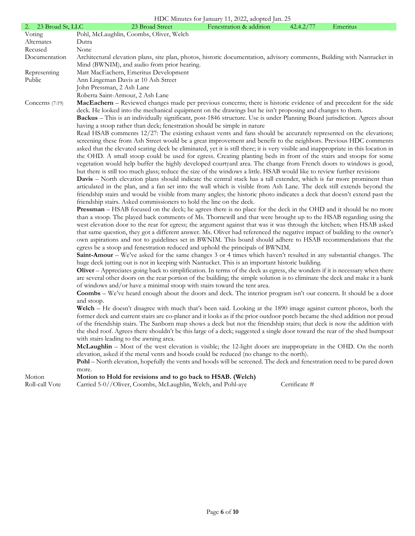|                     | HDC Minutes for January 11, 2022, adopted Jan. 25                                                                                                                                                                                                         |
|---------------------|-----------------------------------------------------------------------------------------------------------------------------------------------------------------------------------------------------------------------------------------------------------|
| 2. 23 Broad St, LLC | Emeritus<br>23 Broad Street<br>Fenestration & addition<br>42.4.2/77                                                                                                                                                                                       |
| Voting              | Pohl, McLaughlin, Coombs, Oliver, Welch                                                                                                                                                                                                                   |
| Alternates          | Dutra                                                                                                                                                                                                                                                     |
| Recused             | None                                                                                                                                                                                                                                                      |
| Documentation       | Architectural elevation plans, site plan, photos, historic documentation, advisory comments, Building with Nantucket in                                                                                                                                   |
|                     | Mind (BWNIM), and audio from prior hearing.                                                                                                                                                                                                               |
| Representing        | Matt MacEachern, Emeritus Development                                                                                                                                                                                                                     |
| Public              | Ann Lingeman Davis at 10 Ash Street                                                                                                                                                                                                                       |
|                     | John Pressman, 2 Ash Lane                                                                                                                                                                                                                                 |
|                     | Roberta Saint-Armour, 2 Ash Lane                                                                                                                                                                                                                          |
| Concerns $(7:19)$   | MacEachern – Reviewed changes made per previous concerns; there is historic evidence of and precedent for the side                                                                                                                                        |
|                     | deck. He looked into the mechanical equipment on the drawings but he isn't proposing and changes to them.                                                                                                                                                 |
|                     | Backus - This is an individually significant, post-1846 structure. Use is under Planning Board jurisdiction. Agrees about                                                                                                                                 |
|                     | having a stoop rather than deck; fenestration should be simple in nature                                                                                                                                                                                  |
|                     | Read HSAB comments 12/27: The existing exhaust vents and fans should be accurately represented on the elevations;                                                                                                                                         |
|                     | screening these from Ash Street would be a great improvement and benefit to the neighbors. Previous HDC comments                                                                                                                                          |
|                     | asked that the elevated seating deck be eliminated, yet it is still there; it is very visible and inappropriate in this location in<br>the OHD. A small stoop could be used for egress. Creating planting beds in front of the stairs and stoops for some |
|                     | vegetation would help buffer the highly developed courtyard area. The change from French doors to windows is good,                                                                                                                                        |
|                     | but there is still too much glass; reduce the size of the windows a little. HSAB would like to review further revisions                                                                                                                                   |
|                     | <b>Davis</b> – North elevation plans should indicate the central stack has a tall extender, which is far more prominent than                                                                                                                              |
|                     | articulated in the plan, and a fan set into the wall which is visible from Ash Lane. The deck still extends beyond the                                                                                                                                    |
|                     | friendship stairs and would be visible from many angles; the historic photo indicates a deck that doesn't extend past the                                                                                                                                 |
|                     | friendship stairs. Asked commissioners to hold the line on the deck.                                                                                                                                                                                      |
|                     | <b>Pressman</b> – HSAB focused on the deck; he agrees there is no place for the deck in the OHD and it should be no more                                                                                                                                  |
|                     | than a stoop. The played back comments of Ms. Thornewill and that were brought up to the HSAB regarding using the                                                                                                                                         |
|                     | west elevation door to the rear for egress; the argument against that was it was through the kitchen; when HSAB asked                                                                                                                                     |
|                     | that same question, they got a different answer. Ms. Oliver had referenced the negative impact of building to the owner's                                                                                                                                 |
|                     | own aspirations and not to guidelines set in BWNIM. This board should adhere to HSAB recommendations that the                                                                                                                                             |
|                     | egress be a stoop and fenestration reduced and uphold the principals of BWNIM.                                                                                                                                                                            |
|                     | Saint-Amour – We've asked for the same changes 3 or 4 times which haven't resulted in any substantial changes. The                                                                                                                                        |
|                     | huge deck jutting out is not in keeping with Nantucket. This is an important historic building.                                                                                                                                                           |
|                     | Oliver – Appreciates going back to simplification. In terms of the deck as egress, she wonders if it is necessary when there                                                                                                                              |
|                     | are several other doors on the rear portion of the building; the simple solution is to eliminate the deck and make it a bank                                                                                                                              |
|                     | of windows and/or have a minimal stoop with stairs toward the tent area.                                                                                                                                                                                  |
|                     | <b>Coombs</b> – We've heard enough about the doors and deck. The interior program isn't our concern. It should be a door                                                                                                                                  |
|                     | and stoop.                                                                                                                                                                                                                                                |
|                     | Welch – He doesn't disagree with much that's been said. Looking at the 1890 image against current photos, both the                                                                                                                                        |
|                     | former deck and current stairs are co-planer and it looks as if the prior outdoor porch became the shed addition not proud                                                                                                                                |
|                     | of the friendship stairs. The Sanborn map shows a deck but not the friendship stairs; that deck is now the addition with                                                                                                                                  |
|                     | the shed roof. Agrees there shouldn't be this large of a deck; suggested a single door toward the rear of the shed bumpout<br>with stairs leading to the awning area.                                                                                     |
|                     | McLaughlin – Most of the west elevation is visible; the 12-light doors are inappropriate in the OHD. On the north                                                                                                                                         |
|                     | elevation, asked if the metal vents and hoods could be reduced (no change to the north).                                                                                                                                                                  |
|                     | Pohl – North elevation, hopefully the vents and hoods will be screened. The deck and fenestration need to be pared down                                                                                                                                   |
|                     | more.                                                                                                                                                                                                                                                     |
| Motion              | Motion to Hold for revisions and to go back to HSAB. (Welch)                                                                                                                                                                                              |
| Roll-call Vote      | Carried 5-0//Oliver, Coombs, McLaughlin, Welch, and Pohl-aye<br>Certificate #                                                                                                                                                                             |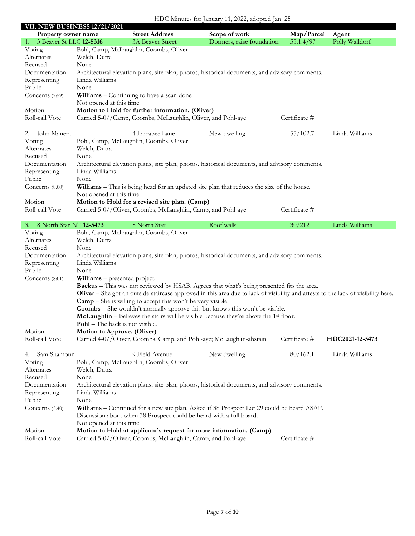| HDC Minutes for January 11, 2022, adopted Jan. 25 |  |  |
|---------------------------------------------------|--|--|
|                                                   |  |  |

|                                                             | <b>VII. NEW BUSINESS 12/21/2021</b>    |                                                                              |                                                                                                                                   |                         |                                |
|-------------------------------------------------------------|----------------------------------------|------------------------------------------------------------------------------|-----------------------------------------------------------------------------------------------------------------------------------|-------------------------|--------------------------------|
| <b>Property owner name</b><br>3 Beaver St LLC 12-5316<br>1. |                                        | <b>Street Address</b><br><b>3A Beaver Street</b>                             | Scope of work<br>Dormers, raise foundation                                                                                        | Map/Parcel<br>55.1.4/97 | <b>Agent</b><br>Polly Walldorf |
| Voting                                                      |                                        | Pohl, Camp, McLaughlin, Coombs, Oliver                                       |                                                                                                                                   |                         |                                |
| Alternates                                                  | Welch, Dutra                           |                                                                              |                                                                                                                                   |                         |                                |
| Recused                                                     | None                                   |                                                                              |                                                                                                                                   |                         |                                |
| Documentation                                               |                                        |                                                                              | Architectural elevation plans, site plan, photos, historical documents, and advisory comments.                                    |                         |                                |
| Representing                                                | Linda Williams                         |                                                                              |                                                                                                                                   |                         |                                |
| Public                                                      | None                                   |                                                                              |                                                                                                                                   |                         |                                |
| Concerns (7:59)                                             |                                        | Williams - Continuing to have a scan done                                    |                                                                                                                                   |                         |                                |
|                                                             | Not opened at this time.               |                                                                              |                                                                                                                                   |                         |                                |
| Motion                                                      |                                        | Motion to Hold for further information. (Oliver)                             |                                                                                                                                   |                         |                                |
| Roll-call Vote                                              |                                        | Carried 5-0//Camp, Coombs, McLaughlin, Oliver, and Pohl-aye                  |                                                                                                                                   | Certificate #           |                                |
|                                                             |                                        |                                                                              |                                                                                                                                   |                         |                                |
| John Manera<br>2.                                           |                                        | 4 Larrabee Lane                                                              | New dwelling                                                                                                                      | 55/102.7                | Linda Williams                 |
| Voting                                                      |                                        | Pohl, Camp, McLaughlin, Coombs, Oliver                                       |                                                                                                                                   |                         |                                |
| Alternates                                                  | Welch, Dutra                           |                                                                              |                                                                                                                                   |                         |                                |
| Recused                                                     | None                                   |                                                                              |                                                                                                                                   |                         |                                |
| Documentation                                               |                                        |                                                                              | Architectural elevation plans, site plan, photos, historical documents, and advisory comments.                                    |                         |                                |
| Representing                                                | Linda Williams                         |                                                                              |                                                                                                                                   |                         |                                |
| Public                                                      | None                                   |                                                                              |                                                                                                                                   |                         |                                |
| Concerns (8:00)                                             |                                        |                                                                              | Williams – This is being head for an updated site plan that reduces the size of the house.                                        |                         |                                |
|                                                             | Not opened at this time.               |                                                                              |                                                                                                                                   |                         |                                |
| Motion                                                      |                                        | Motion to Hold for a revised site plan. (Camp)                               |                                                                                                                                   |                         |                                |
| Roll-call Vote                                              |                                        | Carried 5-0//Oliver, Coombs, McLaughlin, Camp, and Pohl-aye                  |                                                                                                                                   | Certificate #           |                                |
|                                                             |                                        |                                                                              |                                                                                                                                   |                         |                                |
| 3. 8 North Star NT 12-5473                                  |                                        | 8 North Star                                                                 | Roof walk                                                                                                                         | 30/212                  | Linda Williams                 |
| Voting                                                      |                                        | Pohl, Camp, McLaughlin, Coombs, Oliver                                       |                                                                                                                                   |                         |                                |
| Alternates                                                  | Welch, Dutra                           |                                                                              |                                                                                                                                   |                         |                                |
| Recused                                                     | None                                   |                                                                              |                                                                                                                                   |                         |                                |
| Documentation                                               |                                        |                                                                              | Architectural elevation plans, site plan, photos, historical documents, and advisory comments.                                    |                         |                                |
| Representing                                                | Linda Williams                         |                                                                              |                                                                                                                                   |                         |                                |
| Public                                                      | None                                   |                                                                              |                                                                                                                                   |                         |                                |
| Concerns $(8:01)$                                           | Williams - presented project.          |                                                                              |                                                                                                                                   |                         |                                |
|                                                             |                                        |                                                                              | Backus - This was not reviewed by HSAB. Agrees that what's being presented fits the area.                                         |                         |                                |
|                                                             |                                        |                                                                              | Oliver – She got an outside staircase approved in this area due to lack of visibility and attests to the lack of visibility here. |                         |                                |
|                                                             |                                        | $\text{ Camp} - \text{She}$ is willing to accept this won't be very visible. |                                                                                                                                   |                         |                                |
|                                                             |                                        |                                                                              | Coombs - She wouldn't normally approve this but knows this won't be visible.                                                      |                         |                                |
|                                                             |                                        |                                                                              | <b>McLaughlin</b> – Believes the stairs will be visible because they're above the $1st$ floor.                                    |                         |                                |
|                                                             | <b>Pohl</b> – The back is not visible. |                                                                              |                                                                                                                                   |                         |                                |
| Motion                                                      | Motion to Approve. (Oliver)            |                                                                              |                                                                                                                                   |                         |                                |
| Roll-call Vote                                              |                                        | Carried 4-0//Oliver, Coombs, Camp, and Pohl-aye; McLaughlin-abstain          |                                                                                                                                   | Certificate #           | HDC2021-12-5473                |
| Sam Shamoun<br>4.                                           |                                        | 9 Field Avenue                                                               | New dwelling                                                                                                                      | 80/162.1                | Linda Williams                 |
| Voting                                                      |                                        | Pohl, Camp, McLaughlin, Coombs, Oliver                                       |                                                                                                                                   |                         |                                |
| Alternates                                                  | Welch, Dutra                           |                                                                              |                                                                                                                                   |                         |                                |
| Recused                                                     | None                                   |                                                                              |                                                                                                                                   |                         |                                |
| Documentation                                               |                                        |                                                                              | Architectural elevation plans, site plan, photos, historical documents, and advisory comments.                                    |                         |                                |
| Representing                                                | Linda Williams                         |                                                                              |                                                                                                                                   |                         |                                |
| Public                                                      | None                                   |                                                                              |                                                                                                                                   |                         |                                |
| Concerns (5:40)                                             |                                        |                                                                              | Williams – Continued for a new site plan. Asked if 38 Prospect Lot 29 could be heard ASAP.                                        |                         |                                |
|                                                             |                                        | Discussion about when 38 Prospect could be heard with a full board.          |                                                                                                                                   |                         |                                |
|                                                             | Not opened at this time.               |                                                                              |                                                                                                                                   |                         |                                |
| Motion                                                      |                                        |                                                                              | Motion to Hold at applicant's request for more information. (Camp)                                                                |                         |                                |
| Roll-call Vote                                              |                                        | Carried 5-0//Oliver, Coombs, McLaughlin, Camp, and Pohl-aye                  |                                                                                                                                   | Certificate #           |                                |
|                                                             |                                        |                                                                              |                                                                                                                                   |                         |                                |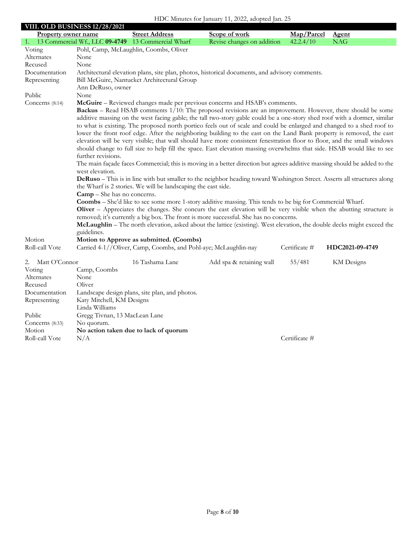|                                                                                                                      | VIII. OLD BUSINESS 12/28/2021                                                                                                                                                                                                                                                                                                                                                                                                                                                                                                                                                                                                                                                                                                                                                                                                                                                                                                                                                                                                                                                                                                                                                                                                                                                                                                                                                                                                                                                                                                                                                                                                                                                                                 |                                                                   |                                                                                                |               |                   |
|----------------------------------------------------------------------------------------------------------------------|---------------------------------------------------------------------------------------------------------------------------------------------------------------------------------------------------------------------------------------------------------------------------------------------------------------------------------------------------------------------------------------------------------------------------------------------------------------------------------------------------------------------------------------------------------------------------------------------------------------------------------------------------------------------------------------------------------------------------------------------------------------------------------------------------------------------------------------------------------------------------------------------------------------------------------------------------------------------------------------------------------------------------------------------------------------------------------------------------------------------------------------------------------------------------------------------------------------------------------------------------------------------------------------------------------------------------------------------------------------------------------------------------------------------------------------------------------------------------------------------------------------------------------------------------------------------------------------------------------------------------------------------------------------------------------------------------------------|-------------------------------------------------------------------|------------------------------------------------------------------------------------------------|---------------|-------------------|
| <b>Property owner name</b>                                                                                           |                                                                                                                                                                                                                                                                                                                                                                                                                                                                                                                                                                                                                                                                                                                                                                                                                                                                                                                                                                                                                                                                                                                                                                                                                                                                                                                                                                                                                                                                                                                                                                                                                                                                                                               | <b>Street Address</b>                                             | Scope of work                                                                                  | Map/Parcel    | <b>Agent</b>      |
|                                                                                                                      |                                                                                                                                                                                                                                                                                                                                                                                                                                                                                                                                                                                                                                                                                                                                                                                                                                                                                                                                                                                                                                                                                                                                                                                                                                                                                                                                                                                                                                                                                                                                                                                                                                                                                                               | 1. 13 Commercial Wf., LLC 09-4749 13 Commercial Wharf             | Revise changes on addition                                                                     | 42.2.4/10     | <b>NAG</b>        |
| Voting                                                                                                               |                                                                                                                                                                                                                                                                                                                                                                                                                                                                                                                                                                                                                                                                                                                                                                                                                                                                                                                                                                                                                                                                                                                                                                                                                                                                                                                                                                                                                                                                                                                                                                                                                                                                                                               | Pohl, Camp, McLaughlin, Coombs, Oliver                            |                                                                                                |               |                   |
| Alternates                                                                                                           | None                                                                                                                                                                                                                                                                                                                                                                                                                                                                                                                                                                                                                                                                                                                                                                                                                                                                                                                                                                                                                                                                                                                                                                                                                                                                                                                                                                                                                                                                                                                                                                                                                                                                                                          |                                                                   |                                                                                                |               |                   |
| Recused                                                                                                              | None                                                                                                                                                                                                                                                                                                                                                                                                                                                                                                                                                                                                                                                                                                                                                                                                                                                                                                                                                                                                                                                                                                                                                                                                                                                                                                                                                                                                                                                                                                                                                                                                                                                                                                          |                                                                   |                                                                                                |               |                   |
| Documentation                                                                                                        |                                                                                                                                                                                                                                                                                                                                                                                                                                                                                                                                                                                                                                                                                                                                                                                                                                                                                                                                                                                                                                                                                                                                                                                                                                                                                                                                                                                                                                                                                                                                                                                                                                                                                                               |                                                                   | Architectural elevation plans, site plan, photos, historical documents, and advisory comments. |               |                   |
| Representing                                                                                                         | Bill McGuire, Nantucket Architectural Group<br>Ann DeRuso, owner                                                                                                                                                                                                                                                                                                                                                                                                                                                                                                                                                                                                                                                                                                                                                                                                                                                                                                                                                                                                                                                                                                                                                                                                                                                                                                                                                                                                                                                                                                                                                                                                                                              |                                                                   |                                                                                                |               |                   |
| Public                                                                                                               | None                                                                                                                                                                                                                                                                                                                                                                                                                                                                                                                                                                                                                                                                                                                                                                                                                                                                                                                                                                                                                                                                                                                                                                                                                                                                                                                                                                                                                                                                                                                                                                                                                                                                                                          |                                                                   |                                                                                                |               |                   |
| Concerns $(8:14)$                                                                                                    |                                                                                                                                                                                                                                                                                                                                                                                                                                                                                                                                                                                                                                                                                                                                                                                                                                                                                                                                                                                                                                                                                                                                                                                                                                                                                                                                                                                                                                                                                                                                                                                                                                                                                                               |                                                                   |                                                                                                |               |                   |
|                                                                                                                      | McGuire - Reviewed changes made per previous concerns and HSAB's comments.<br><b>Backus</b> – Read HSAB comments 1/10: The proposed revisions are an improvement. However, there should be some<br>additive massing on the west facing gable; the tall two-story gable could be a one-story shed roof with a dormer, similar<br>to what is existing. The proposed north portico feels out of scale and could be enlarged and changed to a shed roof to<br>lower the front roof edge. After the neighboring building to the east on the Land Bank property is removed, the east<br>elevation will be very visible; that wall should have more consistent fenestration floor to floor, and the small windows<br>should change to full size to help fill the space. East elevation massing overwhelms that side. HSAB would like to see<br>further revisions.<br>The main façade faces Commercial; this is moving in a better direction but agrees additive massing should be added to the<br>west elevation.<br>DeRuso - This is in line with but smaller to the neighbor heading toward Washington Street. Asserts all structures along<br>the Wharf is 2 stories. We will be landscaping the east side.<br><b>Camp</b> – She has no concerns.<br><b>Coombs</b> – She'd like to see some more 1-story additive massing. This tends to be big for Commercial Wharf.<br>Oliver – Appreciates the changes. She concurs the east elevation will be very visible when the abutting structure is<br>removed; it's currently a big box. The front is more successful. She has no concerns.<br>McLaughlin - The north elevation, asked about the lattice (existing). West elevation, the double decks might exceed the |                                                                   |                                                                                                |               |                   |
| Motion                                                                                                               | guidelines.                                                                                                                                                                                                                                                                                                                                                                                                                                                                                                                                                                                                                                                                                                                                                                                                                                                                                                                                                                                                                                                                                                                                                                                                                                                                                                                                                                                                                                                                                                                                                                                                                                                                                                   | Motion to Approve as submitted. (Coombs)                          |                                                                                                |               |                   |
| Roll-call Vote                                                                                                       |                                                                                                                                                                                                                                                                                                                                                                                                                                                                                                                                                                                                                                                                                                                                                                                                                                                                                                                                                                                                                                                                                                                                                                                                                                                                                                                                                                                                                                                                                                                                                                                                                                                                                                               | Carried 4-1//Oliver, Camp, Coombs, and Pohl-aye; McLaughlin-nay   |                                                                                                | Certificate # | HDC2021-09-4749   |
| Matt O'Connor<br>2.<br>Voting<br>Alternates<br>Recused<br>Documentation<br>Representing<br>Public<br>Concerns (8:33) | Camp, Coombs<br>None<br>Oliver<br>Katy Mitchell, KM Designs<br>Linda Williams<br>Gregg Tivnan, 13 MacLean Lane<br>No quorum.                                                                                                                                                                                                                                                                                                                                                                                                                                                                                                                                                                                                                                                                                                                                                                                                                                                                                                                                                                                                                                                                                                                                                                                                                                                                                                                                                                                                                                                                                                                                                                                  | 16 Tashama Lane<br>Landscape design plans, site plan, and photos. | Add spa & retaining wall                                                                       | 55/481        | <b>KM</b> Designs |
| Motion                                                                                                               |                                                                                                                                                                                                                                                                                                                                                                                                                                                                                                                                                                                                                                                                                                                                                                                                                                                                                                                                                                                                                                                                                                                                                                                                                                                                                                                                                                                                                                                                                                                                                                                                                                                                                                               | No action taken due to lack of quorum                             |                                                                                                | Certificate # |                   |
| Roll-call Vote                                                                                                       | N/A                                                                                                                                                                                                                                                                                                                                                                                                                                                                                                                                                                                                                                                                                                                                                                                                                                                                                                                                                                                                                                                                                                                                                                                                                                                                                                                                                                                                                                                                                                                                                                                                                                                                                                           |                                                                   |                                                                                                |               |                   |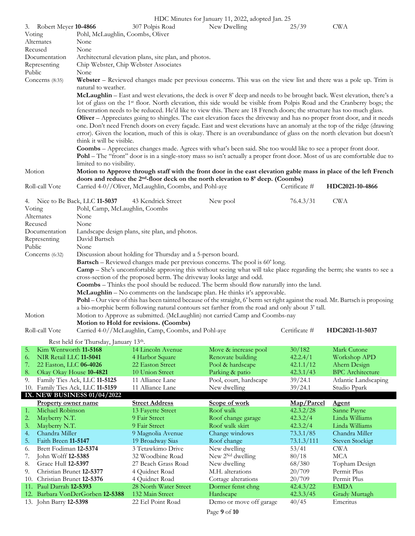|         |                            |                                       |                                                                       | HDC Minutes for January 11, 2022, adopted Jan. 25                                                                                   |                       |                              |
|---------|----------------------------|---------------------------------------|-----------------------------------------------------------------------|-------------------------------------------------------------------------------------------------------------------------------------|-----------------------|------------------------------|
| 3.      | Robert Meyer 10-4866       |                                       | 307 Polpis Road                                                       | New Dwelling                                                                                                                        | 25/39                 | <b>CWA</b>                   |
| Voting  |                            | Pohl, McLaughlin, Coombs, Oliver      |                                                                       |                                                                                                                                     |                       |                              |
|         | Alternates                 | None                                  |                                                                       |                                                                                                                                     |                       |                              |
| Recused |                            | None                                  |                                                                       |                                                                                                                                     |                       |                              |
|         | Documentation              |                                       | Architectural elevation plans, site plan, and photos.                 |                                                                                                                                     |                       |                              |
|         | Representing               | Chip Webster, Chip Webster Associates |                                                                       |                                                                                                                                     |                       |                              |
| Public  |                            | None                                  |                                                                       |                                                                                                                                     |                       |                              |
|         | Concerns (8:35)            |                                       |                                                                       | Webster – Reviewed changes made per previous concerns. This was on the view list and there was a pole up. Trim is                   |                       |                              |
|         |                            | natural to weather.                   |                                                                       |                                                                                                                                     |                       |                              |
|         |                            |                                       |                                                                       | McLaughlin - East and west elevations, the deck is over 8' deep and needs to be brought back. West elevation, there's a             |                       |                              |
|         |                            |                                       |                                                                       | lot of glass on the 1 <sup>st</sup> floor. North elevation, this side would be visible from Polpis Road and the Cranberry bogs; the |                       |                              |
|         |                            |                                       |                                                                       | fenestration needs to be reduced. He'd like to view this. There are 18 French doors; the structure has too much glass.              |                       |                              |
|         |                            |                                       |                                                                       |                                                                                                                                     |                       |                              |
|         |                            |                                       |                                                                       | Oliver – Appreciates going to shingles. The east elevation faces the driveway and has no proper front door, and it needs            |                       |                              |
|         |                            |                                       |                                                                       | one. Don't need French doors on every façade. East and west elevations have an anomaly at the top of the ridge (drawing             |                       |                              |
|         |                            |                                       |                                                                       | error). Given the location, much of this is okay. There is an overabundance of glass on the north elevation but doesn't             |                       |                              |
|         |                            | think it will be visible.             |                                                                       |                                                                                                                                     |                       |                              |
|         |                            |                                       |                                                                       | <b>Coombs</b> – Appreciates changes made. Agrees with what's been said. She too would like to see a proper front door.              |                       |                              |
|         |                            |                                       |                                                                       | Pohl – The "front" door is in a single-story mass so isn't actually a proper front door. Most of us are comfortable due to          |                       |                              |
|         |                            | limited to no visibility.             |                                                                       |                                                                                                                                     |                       |                              |
| Motion  |                            |                                       |                                                                       | Motion to Approve through staff with the front door in the east elevation gable mass in place of the left French                    |                       |                              |
|         |                            |                                       |                                                                       | doors and reduce the 2 <sup>nd</sup> -floor deck on the north elevation to 8' deep. (Coombs)                                        |                       |                              |
|         | Roll-call Vote             |                                       | Carried 4-0//Oliver, McLaughlin, Coombs, and Pohl-aye                 |                                                                                                                                     | Certificate #         | HDC2021-10-4866              |
|         |                            |                                       |                                                                       |                                                                                                                                     |                       |                              |
|         |                            | 4. Nice to Be Back, LLC 11-5037       | 43 Kendrick Street                                                    | New pool                                                                                                                            | 76.4.3/31             | <b>CWA</b>                   |
| Voting  |                            | Pohl, Camp, McLaughlin, Coombs        |                                                                       |                                                                                                                                     |                       |                              |
|         | Alternates                 | None                                  |                                                                       |                                                                                                                                     |                       |                              |
|         | Recused                    | None                                  |                                                                       |                                                                                                                                     |                       |                              |
|         | Documentation              |                                       | Landscape design plans, site plan, and photos.                        |                                                                                                                                     |                       |                              |
|         | Representing               | David Bartsch                         |                                                                       |                                                                                                                                     |                       |                              |
| Public  |                            | None                                  |                                                                       |                                                                                                                                     |                       |                              |
|         |                            |                                       |                                                                       |                                                                                                                                     |                       |                              |
|         |                            |                                       |                                                                       |                                                                                                                                     |                       |                              |
|         | Concerns $(6:32)$          |                                       | Discussion about holding for Thursday and a 5-person board.           |                                                                                                                                     |                       |                              |
|         |                            |                                       |                                                                       | <b>Bartsch</b> – Reviewed changes made per previous concerns. The pool is 60' long.                                                 |                       |                              |
|         |                            |                                       |                                                                       | <b>Camp</b> – She's uncomfortable approving this without seeing what will take place regarding the berm; she wants to see a         |                       |                              |
|         |                            |                                       | cross-section of the proposed berm. The driveway looks large and odd. |                                                                                                                                     |                       |                              |
|         |                            |                                       |                                                                       | Coombs - Thinks the pool should be reduced. The berm should flow naturally into the land.                                           |                       |                              |
|         |                            |                                       |                                                                       | McLaughlin - No comments on the landscape plan. He thinks it's approvable.                                                          |                       |                              |
|         |                            |                                       |                                                                       | Pohl – Our view of this has been tainted because of the straight, 6' berm set right against the road. Mr. Bartsch is proposing      |                       |                              |
|         |                            |                                       |                                                                       | a bio-morphic berm following natural contours set farther from the road and only about 3' tall.                                     |                       |                              |
| Motion  |                            |                                       |                                                                       | Motion to Approve as submitted. (McLaughlin) not carried Camp and Coombs-nay                                                        |                       |                              |
|         |                            |                                       | Motion to Hold for revisions. (Coombs)                                |                                                                                                                                     |                       |                              |
|         | Roll-call Vote             |                                       | Carried 4-0//McLaughlin, Camp, Coombs, and Pohl-aye                   |                                                                                                                                     | Certificate #         | HDC2021-11-5037              |
|         |                            | Rest held for Thursday, January 13th. |                                                                       |                                                                                                                                     |                       |                              |
| 5.      | Kim Wentworth 11-5168      |                                       | 14 Lincoln Avenue                                                     | Move & increase pool                                                                                                                | 30/182                | Mark Cutone                  |
| 6.      | NIR Retail LLC 11-5041     |                                       |                                                                       |                                                                                                                                     |                       |                              |
| 7.      | 22 Easton, LLC 06-4026     |                                       | 4 Harbor Square<br>22 Easton Street                                   | Renovate building<br>Pool & hardscape                                                                                               | 42.2.4/1<br>42.1.1/12 | Workshop APD<br>Ahern Design |
| 8.      |                            |                                       | 10 Union Street                                                       |                                                                                                                                     |                       |                              |
|         | Okay Okay House 10-4821    |                                       |                                                                       | Parking & patio                                                                                                                     | 42.3.1/43             | <b>BPC</b> Architecture      |
| 9.      |                            | Family Ties Ack, LLC 11-5125          | 11 Alliance Lane                                                      | Pool, court, hardscape                                                                                                              | 39/24.1               | Atlantic Landscaping         |
|         |                            | 10. Family Ties Ack, LLC 11-5159      | 11 Alliance Lane                                                      | New dwelling                                                                                                                        | 39/24.1               | Studio Ppark                 |
|         |                            | IX. NEW BUSINESS 01/04/2022           |                                                                       |                                                                                                                                     |                       |                              |
|         | <b>Property owner name</b> |                                       | <b>Street Address</b>                                                 | Scope of work                                                                                                                       | Map/Parcel            | <b>Agent</b>                 |
| 1.      | Michael Robinson           |                                       | 13 Fayette Street                                                     | Roof walk                                                                                                                           | 42.3.2/28             | Sanne Payne                  |
| 2.      | Mayberry N.T.              |                                       | 9 Fair Street                                                         | Roof change garage                                                                                                                  | 42.3.2/4              | Linda Williams               |
| 3.      | Mayberry N.T.              |                                       | 9 Fair Street                                                         | Roof walk skirt                                                                                                                     | 42.3.2/4              | Linda Williams               |
| 4.      | Chandra Miller             |                                       | 9 Magnolia Avenue                                                     | Change windows                                                                                                                      | 73.3.1/85             | Chandra Miller               |
| 5.      | Faith Breen 11-5147        |                                       | 19 Broadway Sias                                                      | Roof change                                                                                                                         | 73.1.3/111            | <b>Steven Stockigt</b>       |
| 6.      | Brett Fodiman 12-5374      |                                       | 3 Tetawkimo Drive                                                     | New dwelling                                                                                                                        | 53/41                 | <b>CWA</b>                   |
| 7.      | John Wolff 12-5385         |                                       | 32 Woodbine Road                                                      | New 2 <sup>Nd</sup> dwelling                                                                                                        | 80/18                 | <b>MCA</b>                   |
| 8.      | Grace Hull 12-5397         |                                       | 27 Beach Grass Road                                                   | New dwelling                                                                                                                        | 68/380                | Topham Design                |
| 9.      | Christian Brunet 12-5377   |                                       | 4 Quidnet Road                                                        | M.H. alterations                                                                                                                    | 20/709                | Permit Plus                  |
| 10.     | Christian Brunet 12-5376   |                                       | 4 Quidnet Road                                                        | Cottage alterations                                                                                                                 | 20/709                | Permit Plus                  |
| 11.     | Paul Darrah 12-5393        |                                       | 28 North Water Street                                                 | Dormer fenst chng                                                                                                                   | 42.4.3/22             | <b>EMDA</b>                  |
|         | 13. John Barry 12-5398     | 12. Barbara VonDerGorben 12-5388      | 132 Main Street<br>22 Eel Point Road                                  | Hardscape<br>Demo or move off garage                                                                                                | 42.3.3/45<br>40/45    | Grady Murtagh<br>Emeritus    |